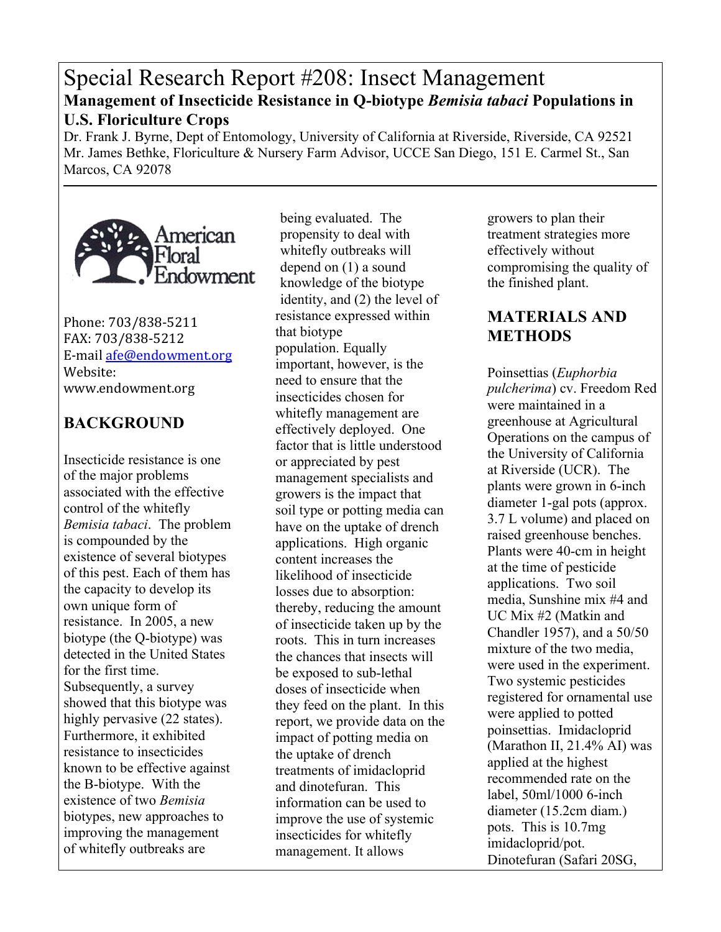# Special Research Report #208: Insect Management **Management of Insecticide Resistance in Q-biotype** *Bemisia tabaci* **Populations in U.S. Floriculture Crops**

Dr. Frank J. Byrne, Dept of Entomology, University of California at Riverside, Riverside, CA 92521 Mr. James Bethke, Floriculture & Nursery Farm Advisor, UCCE San Diego, 151 E. Carmel St., San Marcos, CA 92078



Phone: 703/838-5211 FAX:!703/838-5212 E-mail afe@endowment.org Website: www.endowment.org

## **BACKGROUND**

Insecticide resistance is one of the major problems associated with the effective control of the whitefly *Bemisia tabaci*. The problem is compounded by the existence of several biotypes of this pest. Each of them has the capacity to develop its own unique form of resistance. In 2005, a new biotype (the Q-biotype) was detected in the United States for the first time. Subsequently, a survey showed that this biotype was highly pervasive  $(22 \text{ states})$ . Furthermore, it exhibited resistance to insecticides known to be effective against the B-biotype. With the existence of two *Bemisia* biotypes, new approaches to improving the management of whitefly outbreaks are

being evaluated. The propensity to deal with whitefly outbreaks will depend on (1) a sound knowledge of the biotype identity, and (2) the level of resistance expressed within that biotype population. Equally important, however, is the need to ensure that the insecticides chosen for whitefly management are effectively deployed. One factor that is little understood or appreciated by pest management specialists and growers is the impact that soil type or potting media can have on the uptake of drench applications. High organic content increases the likelihood of insecticide losses due to absorption: thereby, reducing the amount of insecticide taken up by the roots. This in turn increases the chances that insects will be exposed to sub-lethal doses of insecticide when they feed on the plant. In this report, we provide data on the impact of potting media on the uptake of drench treatments of imidacloprid and dinotefuran. This information can be used to improve the use of systemic insecticides for whitefly management. It allows

growers to plan their treatment strategies more effectively without compromising the quality of the finished plant.

#### **MATERIALS AND METHODS**

Poinsettias (*Euphorbia pulcherima*) cv. Freedom Red were maintained in a greenhouse at Agricultural Operations on the campus of the University of California at Riverside (UCR). The plants were grown in 6-inch diameter 1-gal pots (approx. 3.7 L volume) and placed on raised greenhouse benches. Plants were 40-cm in height at the time of pesticide applications. Two soil media, Sunshine mix #4 and UC Mix #2 (Matkin and Chandler 1957), and a 50/50 mixture of the two media, were used in the experiment. Two systemic pesticides registered for ornamental use were applied to potted poinsettias. Imidacloprid (Marathon II, 21.4% AI) was applied at the highest recommended rate on the label, 50ml/1000 6-inch diameter (15.2cm diam.) pots. This is 10.7mg imidacloprid/pot. Dinotefuran (Safari 20SG,